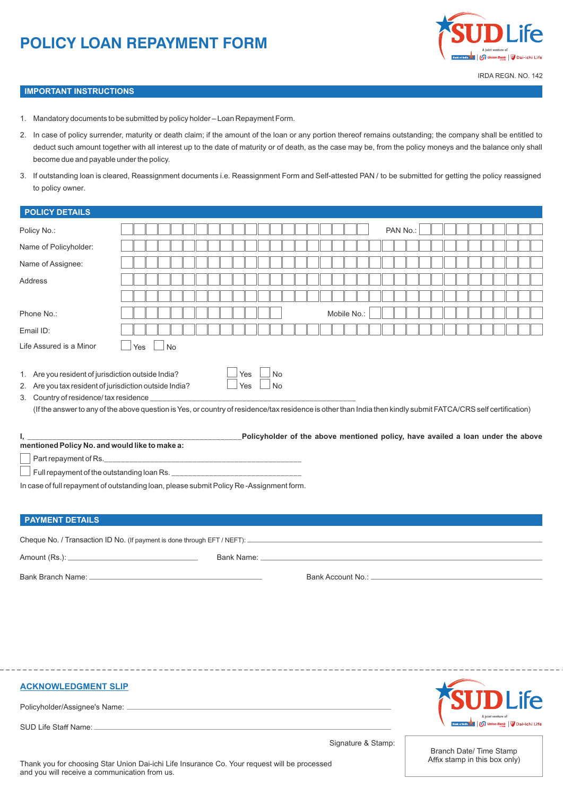# **POLICY LOAN REPAYMENT FORM**



 $\Gamma$ 

пr T π пr

#### **IMPORTANT INSTRUCTIONS**

1. Mandatory documents to be submitted by policy holder – Loan Repayment Form.

TГ

пr пr пr T. пr пr  $\overline{\mathbb{F}}$  $\top$ пr пr пr пr пr  $\overline{\mathbb{F}}$ пr  $\overline{\phantom{0}}$ 

- 2. In case of policy surrender, maturity or death claim; if the amount of the loan or any portion thereof remains outstanding; the company shall be entitled to deduct such amount together with all interest up to the date of maturity or of death, as the case may be, from the policy moneys and the balance only shall become due and payable under the policy.
- 3. If outstanding loan is cleared, Reassignment documents i.e. Reassignment Form and Self-attested PAN / to be submitted for getting the policy reassigned to policy owner.

## **POLICY DETAILS**

| Policy No.:                                                                                                  |                  | PAN No.:                                                                                                                                                                                                                                 |
|--------------------------------------------------------------------------------------------------------------|------------------|------------------------------------------------------------------------------------------------------------------------------------------------------------------------------------------------------------------------------------------|
| Name of Policyholder:                                                                                        |                  |                                                                                                                                                                                                                                          |
| Name of Assignee:                                                                                            |                  |                                                                                                                                                                                                                                          |
| Address                                                                                                      |                  |                                                                                                                                                                                                                                          |
|                                                                                                              |                  |                                                                                                                                                                                                                                          |
| Phone No.:                                                                                                   |                  | Mobile No.:                                                                                                                                                                                                                              |
| Email ID:                                                                                                    |                  |                                                                                                                                                                                                                                          |
| Life Assured is a Minor                                                                                      | <b>No</b><br>Yes |                                                                                                                                                                                                                                          |
| 1. Are you resident of jurisdiction outside India?<br>2. Are you tax resident of jurisdiction outside India? |                  | <b>No</b><br>Yes<br>Yes<br>No<br>3. Country of residence/tax residence<br>(If the answer to any of the above question is Yes, or country of residence/tax residence is other than India then kindly submit FATCA/CRS self certification) |
| I, ____________________________<br>mentioned Policy No. and would like to make a:                            |                  | Policyholder of the above mentioned policy, have availed a loan under the above                                                                                                                                                          |
|                                                                                                              |                  |                                                                                                                                                                                                                                          |
|                                                                                                              |                  |                                                                                                                                                                                                                                          |
| In case of full repayment of outstanding loan, please submit Policy Re-Assignment form.                      |                  |                                                                                                                                                                                                                                          |
| <b>PAYMENT DETAILS</b>                                                                                       |                  |                                                                                                                                                                                                                                          |
|                                                                                                              |                  |                                                                                                                                                                                                                                          |
|                                                                                                              |                  |                                                                                                                                                                                                                                          |

Bank Branch Name: Bank Account No.: Letter and the Bank Account No.: Letter and the Bank Account No.: Letter and the Bank Account No.: Letter and the Bank Account No.: Letter and the Bank Account No.: Letter and the Bank A

**ACKNOWLEDGMENT SLIP**

Policyholder/Assignee's Name:

SUD Life Staff Name: ...



Signature & Stamp:

Branch Date/ Time Stamp Affix stamp in this box only)